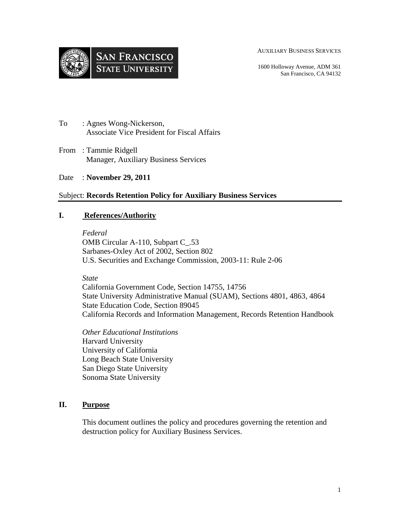



1600 Holloway Avenue, ADM 361 San Francisco, CA 94132

- To : Agnes Wong-Nickerson, Associate Vice President for Fiscal Affairs
- From : Tammie Ridgell Manager, Auxiliary Business Services
- Date : **November 29, 2011**

### Subject: **Records Retention Policy for Auxiliary Business Services**

#### **I. References/Authority**

*Federal*  OMB Circular A-110, Subpart C\_.53 Sarbanes-Oxley Act of 2002, Section 802 U.S. Securities and Exchange Commission, 2003-11: Rule 2-06

*State* 

California Government Code, Section 14755, 14756 State University Administrative Manual (SUAM), Sections 4801, 4863, 4864 State Education Code, Section 89045 California Records and Information Management, Records Retention Handbook

*Other Educational Institutions*  Harvard University University of California Long Beach State University San Diego State University Sonoma State University

### **II. Purpose**

This document outlines the policy and procedures governing the retention and destruction policy for Auxiliary Business Services.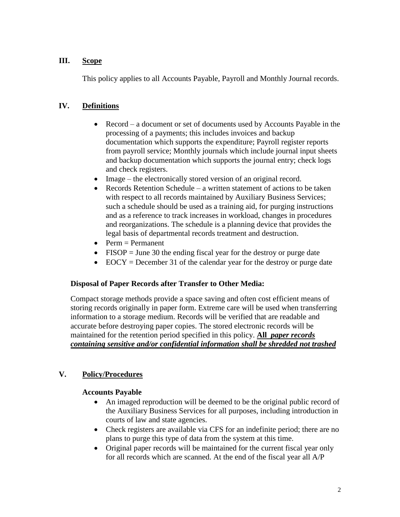### **III. Scope**

This policy applies to all Accounts Payable, Payroll and Monthly Journal records.

## **IV. Definitions**

- Record a document or set of documents used by Accounts Payable in the processing of a payments; this includes invoices and backup documentation which supports the expenditure; Payroll register reports from payroll service; Monthly journals which include journal input sheets and backup documentation which supports the journal entry; check logs and check registers.
- Image the electronically stored version of an original record.
- Records Retention Schedule a written statement of actions to be taken with respect to all records maintained by Auxiliary Business Services; such a schedule should be used as a training aid, for purging instructions and as a reference to track increases in workload, changes in procedures and reorganizations. The schedule is a planning device that provides the legal basis of departmental records treatment and destruction.
- $Perm = Permanent$
- $\bullet$  FISOP = June 30 the ending fiscal year for the destroy or purge date
- $\bullet$  EOCY = December 31 of the calendar year for the destroy or purge date

#### **Disposal of Paper Records after Transfer to Other Media:**

Compact storage methods provide a space saving and often cost efficient means of storing records originally in paper form. Extreme care will be used when transferring information to a storage medium. Records will be verified that are readable and accurate before destroying paper copies. The stored electronic records will be maintained for the retention period specified in this policy. **All** *paper records containing sensitive and/or confidential information shall be shredded not trashed* 

### **V. Policy/Procedures**

#### **Accounts Payable**

- An imaged reproduction will be deemed to be the original public record of the Auxiliary Business Services for all purposes, including introduction in courts of law and state agencies.
- Check registers are available via CFS for an indefinite period; there are no plans to purge this type of data from the system at this time.
- Original paper records will be maintained for the current fiscal year only for all records which are scanned. At the end of the fiscal year all A/P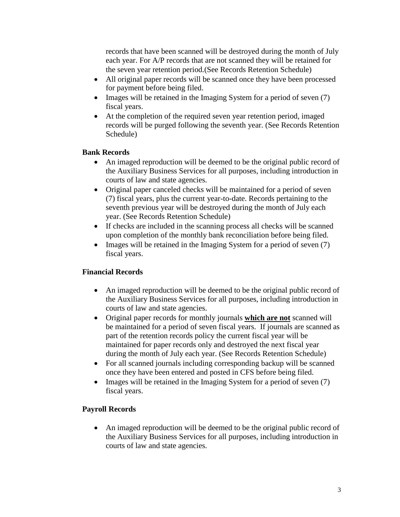records that have been scanned will be destroyed during the month of July each year. For A/P records that are not scanned they will be retained for the seven year retention period.(See Records Retention Schedule)

- All original paper records will be scanned once they have been processed for payment before being filed.
- $\bullet$  Images will be retained in the Imaging System for a period of seven (7) fiscal years.
- At the completion of the required seven year retention period, imaged records will be purged following the seventh year. (See Records Retention Schedule)

# **Bank Records**

- An imaged reproduction will be deemed to be the original public record of the Auxiliary Business Services for all purposes, including introduction in courts of law and state agencies.
- Original paper canceled checks will be maintained for a period of seven (7) fiscal years, plus the current year-to-date. Records pertaining to the seventh previous year will be destroyed during the month of July each year. (See Records Retention Schedule)
- If checks are included in the scanning process all checks will be scanned upon completion of the monthly bank reconciliation before being filed.
- $\bullet$  Images will be retained in the Imaging System for a period of seven (7) fiscal years.

# **Financial Records**

- An imaged reproduction will be deemed to be the original public record of the Auxiliary Business Services for all purposes, including introduction in courts of law and state agencies.
- Original paper records for monthly journals **which are not** scanned will be maintained for a period of seven fiscal years. If journals are scanned as part of the retention records policy the current fiscal year will be maintained for paper records only and destroyed the next fiscal year during the month of July each year. (See Records Retention Schedule)
- For all scanned journals including corresponding backup will be scanned once they have been entered and posted in CFS before being filed.
- $\bullet$  Images will be retained in the Imaging System for a period of seven (7) fiscal years.

# **Payroll Records**

 An imaged reproduction will be deemed to be the original public record of the Auxiliary Business Services for all purposes, including introduction in courts of law and state agencies.